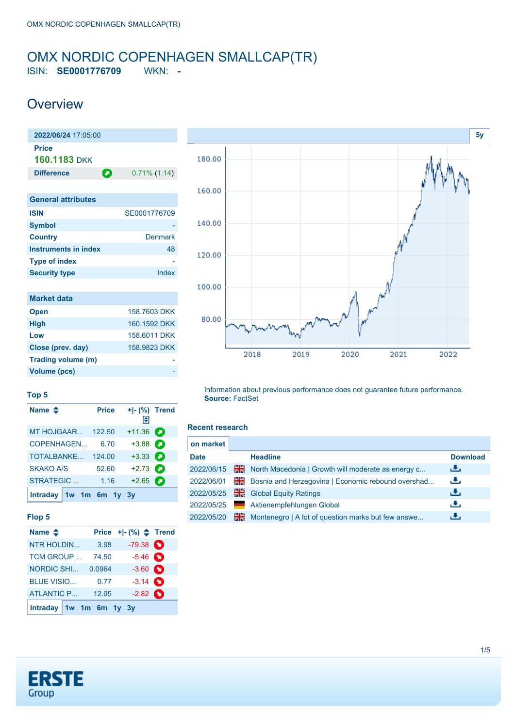# <span id="page-0-0"></span>OMX NORDIC COPENHAGEN SMALLCAP(TR)

ISIN: **SE0001776709** WKN: **-**

### **Overview**

| 2022/06/24 17:05:00         |                 |
|-----------------------------|-----------------|
| <b>Price</b>                |                 |
| 160.1183 DKK                |                 |
| О<br><b>Difference</b>      | $0.71\%$ (1.14) |
|                             |                 |
| <b>General attributes</b>   |                 |
| <b>ISIN</b>                 | SE0001776709    |
| <b>Symbol</b>               |                 |
| <b>Country</b>              | Denmark         |
| <b>Instruments in index</b> | 48              |
| <b>Type of index</b>        |                 |
| <b>Security type</b>        | Index           |
|                             |                 |
| <b>Market data</b>          |                 |
| <b>Open</b>                 | 158,7603 DKK    |
| <b>High</b>                 | 160.1592 DKK    |
| Low                         | 158.6011 DKK    |



#### **Top 5**

**Volume (pcs)** 

| Name $\triangleq$        | <b>Price</b> | $+I-(\%)$ Trend<br>Π€ |   |
|--------------------------|--------------|-----------------------|---|
| <b>MT HOJGAAR 122.50</b> |              | $+11.36$              |   |
| COPENHAGEN               | 6.70         | $+3.88$               |   |
| TOTALBANKE               | 124.00       | $+3.33$ $\bullet$     |   |
| <b>SKAKO A/S</b>         | 52.60        | $+2.73$               |   |
| STRATEGIC                | 1.16         | $+2.65$               | а |
| Intraday 1w 1m 6m 1y 3y  |              |                       |   |

**Close (prev. day)** 158.9823 DKK **Trading volume (m)** -

#### **Flop 5**

| Name $\triangle$          |        | Price $+$ $\mid$ - $\left(\% \right)$ $\spadesuit$ Trend |  |
|---------------------------|--------|----------------------------------------------------------|--|
| NTR HOLDIN                | 3.98   | $-79.38$                                                 |  |
| TCM GROUP                 | 74.50  | $-5.46$ $\bullet$                                        |  |
| <b>NORDIC SHI</b>         | 0.0964 | $-3.60$ $\bullet$                                        |  |
| <b>BLUE VISIO</b>         | 0.77   | $-3.14$ $\bullet$                                        |  |
| <b>ATLANTIC P</b>         | 12.05  | $-2.82$ $\bullet$                                        |  |
| Intraday $1w$ 1m 6m 1y 3y |        |                                                          |  |

Information about previous performance does not guarantee future performance. **Source:** FactSet

#### **Recent research**

| on market   |    |                                                    |                 |
|-------------|----|----------------------------------------------------|-----------------|
| <b>Date</b> |    | <b>Headline</b>                                    | <b>Download</b> |
| 2022/06/15  | ж  | North Macedonia   Growth will moderate as energy c | 法               |
| 2022/06/01  | ₩€ | Bosnia and Herzegovina   Economic rebound overshad | رالى            |
| 2022/05/25  | ₩€ | <b>Global Equity Ratings</b>                       | 出               |
| 2022/05/25  |    | Aktienempfehlungen Global                          | رنان            |
| 2022/05/20  | 꾉  | Montenegro   A lot of question marks but few answe | رنان            |

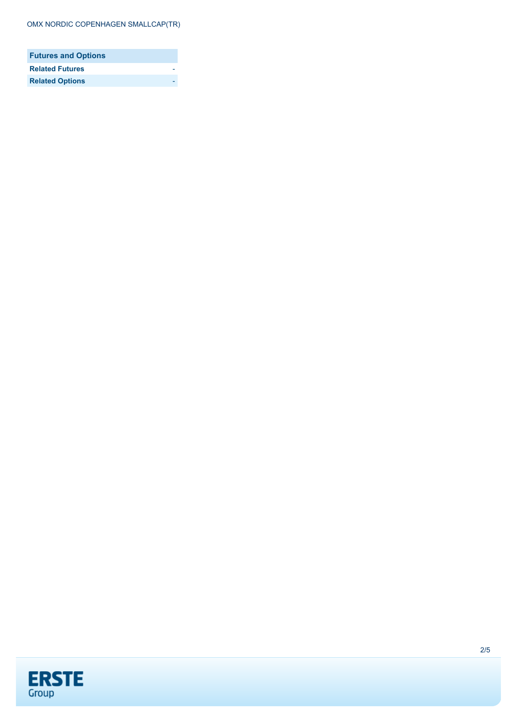| <b>Futures and Options</b> |  |
|----------------------------|--|
| <b>Related Futures</b>     |  |
| <b>Related Options</b>     |  |

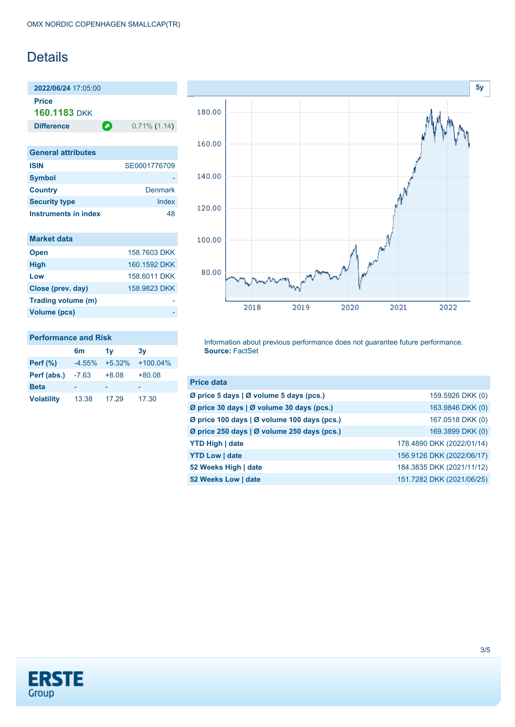### **Details**

**2022/06/24** 17:05:00 **Price 160.1183** DKK

**Difference 0.71% (1.14)** 

| <b>General attributes</b> |              |
|---------------------------|--------------|
| <b>ISIN</b>               | SE0001776709 |
| <b>Symbol</b>             |              |
| <b>Country</b>            | Denmark      |
| <b>Security type</b>      | Index        |
| Instruments in index      | 48           |

| <b>Market data</b> |              |
|--------------------|--------------|
| <b>Open</b>        | 158.7603 DKK |
| <b>High</b>        | 160 1592 DKK |
| Low                | 158,6011 DKK |
| Close (prev. day)  | 158,9823 DKK |
| Trading volume (m) |              |
| Volume (pcs)       |              |

#### **Performance and Risk**

|                   | 6m       | 1v       | 3v         |
|-------------------|----------|----------|------------|
| Perf $(\%)$       | $-4.55%$ | $+5.32%$ | $+100.04%$ |
| Perf (abs.)       | $-7.63$  | $+8.08$  | $+80.08$   |
| <b>Beta</b>       |          |          |            |
| <b>Volatility</b> | 13.38    | 17.29    | 17.30      |



Information about previous performance does not guarantee future performance. **Source:** FactSet

| <b>Price data</b>                           |                           |
|---------------------------------------------|---------------------------|
| Ø price 5 days   Ø volume 5 days (pcs.)     | 159.5926 DKK (0)          |
| Ø price 30 days   Ø volume 30 days (pcs.)   | 163.9846 DKK (0)          |
| Ø price 100 days   Ø volume 100 days (pcs.) | 167.0518 DKK (0)          |
| Ø price 250 days   Ø volume 250 days (pcs.) | 169.3899 DKK (0)          |
| <b>YTD High   date</b>                      | 178.4890 DKK (2022/01/14) |
| <b>YTD Low   date</b>                       | 156.9126 DKK (2022/06/17) |
| 52 Weeks High   date                        | 184.3835 DKK (2021/11/12) |
| 52 Weeks Low   date                         | 151.7282 DKK (2021/06/25) |

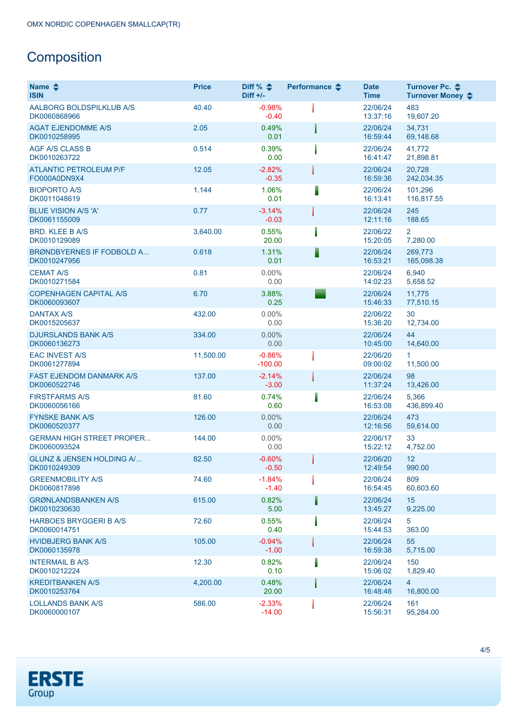## **Composition**

| Name $\triangle$<br><b>ISIN</b>                      | <b>Price</b> | Diff % $\triangleq$<br>Diff $+/-$ | Performance $\clubsuit$ | <b>Date</b><br><b>Time</b> | Turnover Pc. ♦<br>Turnover Money $\div$ |
|------------------------------------------------------|--------------|-----------------------------------|-------------------------|----------------------------|-----------------------------------------|
| AALBORG BOLDSPILKLUB A/S<br>DK0060868966             | 40.40        | $-0.98%$<br>$-0.40$               |                         | 22/06/24<br>13:37:16       | 483<br>19,607.20                        |
| <b>AGAT EJENDOMME A/S</b><br>DK0010258995            | 2.05         | 0.49%<br>0.01                     |                         | 22/06/24<br>16:59:44       | 34,731<br>69,148.68                     |
| <b>AGF A/S CLASS B</b><br>DK0010263722               | 0.514        | 0.39%<br>0.00                     |                         | 22/06/24<br>16:41:47       | 41,772<br>21,898.81                     |
| <b>ATLANTIC PETROLEUM P/F</b><br>FO000A0DN9X4        | 12.05        | $-2.82%$<br>$-0.35$               |                         | 22/06/24<br>16:59:36       | 20,728<br>242,034.35                    |
| <b>BIOPORTO A/S</b><br>DK0011048619                  | 1.144        | 1.06%<br>0.01                     |                         | 22/06/24<br>16:13:41       | 101,296<br>116,817.55                   |
| <b>BLUE VISION A/S 'A'</b><br>DK0061155009           | 0.77         | $-3.14%$<br>$-0.03$               |                         | 22/06/24<br>12:11:16       | 245<br>188.65                           |
| <b>BRD. KLEE B A/S</b><br>DK0010129089               | 3,640.00     | 0.55%<br>20.00                    |                         | 22/06/22<br>15:20:05       | $\overline{2}$<br>7,280.00              |
| BRØNDBYERNES IF FODBOLD A<br>DK0010247956            | 0.618        | 1.31%<br>0.01                     |                         | 22/06/24<br>16:53:21       | 269,773<br>165,098.38                   |
| <b>CEMAT A/S</b><br>DK0010271584                     | 0.81         | $0.00\%$<br>0.00                  |                         | 22/06/24<br>14:02:23       | 6,940<br>5,658.52                       |
| <b>COPENHAGEN CAPITAL A/S</b><br>DK0060093607        | 6.70         | 3.88%<br>0.25                     |                         | 22/06/24<br>15:46:33       | 11,775<br>77,510.15                     |
| <b>DANTAX A/S</b><br>DK0015205637                    | 432.00       | $0.00\%$<br>0.00                  |                         | 22/06/22<br>15:36:20       | 30<br>12,734.00                         |
| <b>DJURSLANDS BANK A/S</b><br>DK0060136273           | 334.00       | 0.00%<br>0.00                     |                         | 22/06/24<br>10:45:00       | 44<br>14,640.00                         |
| <b>EAC INVEST A/S</b><br>DK0061277894                | 11,500.00    | $-0.86%$<br>$-100.00$             |                         | 22/06/20<br>09:00:02       | $\mathbf{1}$<br>11,500.00               |
| <b>FAST EJENDOM DANMARK A/S</b><br>DK0060522746      | 137.00       | $-2.14%$<br>$-3.00$               |                         | 22/06/24<br>11:37:24       | 98<br>13,426.00                         |
| <b>FIRSTFARMS A/S</b><br>DK0060056166                | 81.60        | 0.74%<br>0.60                     |                         | 22/06/24<br>16:53:08       | 5,366<br>436,899.40                     |
| <b>FYNSKE BANK A/S</b><br>DK0060520377               | 126.00       | $0.00\%$<br>0.00                  |                         | 22/06/24<br>12:16:56       | 473<br>59,614.00                        |
| <b>GERMAN HIGH STREET PROPER</b><br>DK0060093524     | 144.00       | 0.00%<br>0.00                     |                         | 22/06/17<br>15:22:12       | 33<br>4,752.00                          |
| <b>GLUNZ &amp; JENSEN HOLDING A/</b><br>DK0010249309 | 82.50        | $-0.60%$<br>$-0.50$               |                         | 22/06/20<br>12:49:54       | 12<br>990.00                            |
| <b>GREENMOBILITY A/S</b><br>DK0060817898             | 74.60        | $-1.84%$<br>$-1.40$               |                         | 22/06/24<br>16:54:45       | 809<br>60,603.60                        |
| <b>GRØNLANDSBANKEN A/S</b><br>DK0010230630           | 615.00       | 0.82%<br>5.00                     |                         | 22/06/24<br>13:45:27       | 15 <sub>1</sub><br>9,225.00             |
| <b>HARBOES BRYGGERI B A/S</b><br>DK0060014751        | 72.60        | 0.55%<br>0.40                     |                         | 22/06/24<br>15:44:53       | 5<br>363.00                             |
| <b>HVIDBJERG BANK A/S</b><br>DK0060135978            | 105.00       | $-0.94%$<br>$-1.00$               |                         | 22/06/24<br>16:59:38       | 55<br>5,715.00                          |
| <b>INTERMAIL B A/S</b><br>DK0010212224               | 12.30        | 0.82%<br>0.10                     |                         | 22/06/24<br>15:06:02       | 150<br>1,829.40                         |
| <b>KREDITBANKEN A/S</b><br>DK0010253764              | 4,200.00     | 0.48%<br>20.00                    |                         | 22/06/24<br>16:48:48       | $\overline{4}$<br>16,800.00             |
| <b>LOLLANDS BANK A/S</b><br>DK0060000107             | 586.00       | $-2.33%$<br>$-14.00$              |                         | 22/06/24<br>15:56:31       | 161<br>95,284.00                        |